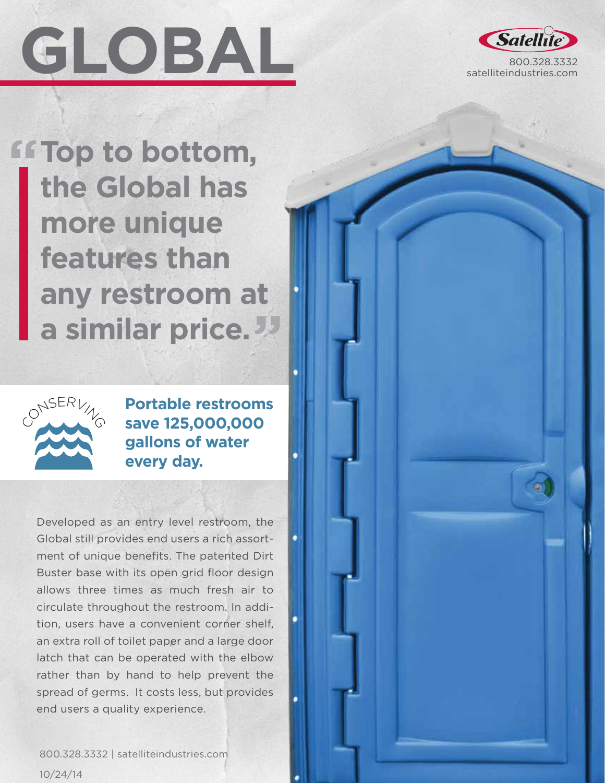



**FFTop to bottom, the Global has more unique features than any restroom at a similar price.**



**Portable restrooms save 125,000,000 gallons of water every day.**

Developed as an entry level restroom, the Global still provides end users a rich assortment of unique benefits. The patented Dirt Buster base with its open grid floor design allows three times as much fresh air to circulate throughout the restroom. In addition, users have a convenient corner shelf, an extra roll of toilet paper and a large door latch that can be operated with the elbow rather than by hand to help prevent the spread of germs. It costs less, but provides end users a quality experience.

800.328.3332 | satelliteindustries.com 10/24/14